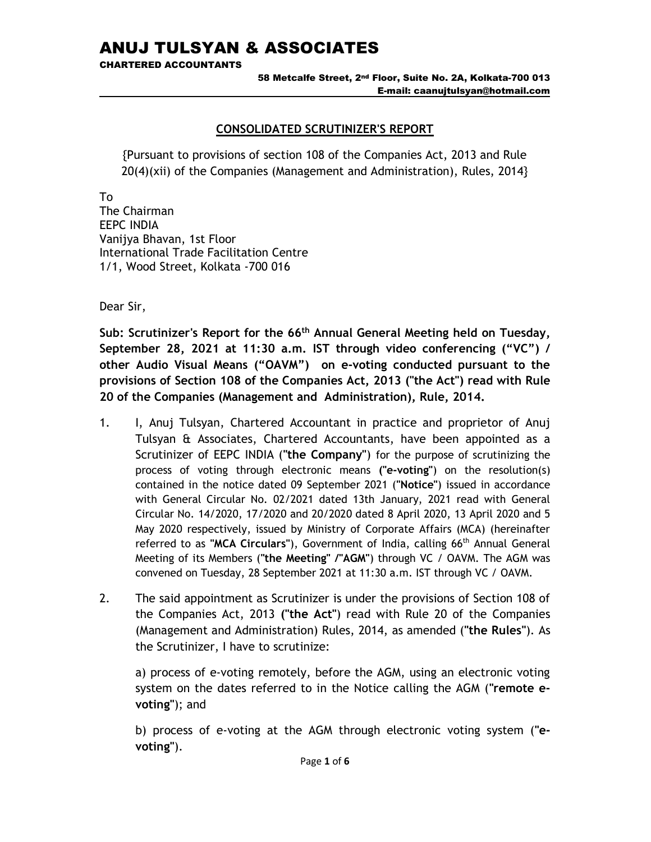CHARTERED ACCOUNTANTS

58 Metcalfe Street, 2nd Floor, Suite No. 2A, Kolkata-700 013 E-mail: caanujtulsyan@hotmail.com

# CONSOLIDATED SCRUTINIZER'S REPORT

{Pursuant to provisions of section 108 of the Companies Act, 2013 and Rule 20(4)(xii) of the Companies (Management and Administration), Rules, 2014}

To

The Chairman EEPC INDIA Vanijya Bhavan, 1st Floor International Trade Facilitation Centre 1/1, Wood Street, Kolkata -700 016

Dear Sir,

Sub: Scrutinizer's Report for the 66<sup>th</sup> Annual General Meeting held on Tuesday, September 28, 2021 at 11:30 a.m. IST through video conferencing ("VC") / other Audio Visual Means ("OAVM") on e-voting conducted pursuant to the provisions of Section 108 of the Companies Act, 2013 ("the Act") read with Rule 20 of the Companies (Management and Administration), Rule, 2014.

- 1. I, Anuj Tulsyan, Chartered Accountant in practice and proprietor of Anuj Tulsyan & Associates, Chartered Accountants, have been appointed as a Scrutinizer of EEPC INDIA ("the Company") for the purpose of scrutinizing the process of voting through electronic means ("e-voting") on the resolution(s) contained in the notice dated 09 September 2021 ("Notice") issued in accordance with General Circular No. 02/2021 dated 13th January, 2021 read with General Circular No. 14/2020, 17/2020 and 20/2020 dated 8 April 2020, 13 April 2020 and 5 May 2020 respectively, issued by Ministry of Corporate Affairs (MCA) (hereinafter referred to as "MCA Circulars"), Government of India, calling 66th Annual General Meeting of its Members ("the Meeting" /"AGM") through VC / OAVM. The AGM was convened on Tuesday, 28 September 2021 at 11:30 a.m. IST through VC / OAVM.
- 2. The said appointment as Scrutinizer is under the provisions of Section 108 of the Companies Act, 2013 ("the Act") read with Rule 20 of the Companies (Management and Administration) Rules, 2014, as amended ("the Rules"). As the Scrutinizer, I have to scrutinize:

a) process of e-voting remotely, before the AGM, using an electronic voting system on the dates referred to in the Notice calling the AGM ("remote evoting"); and

b) process of e-voting at the AGM through electronic voting system ("evoting").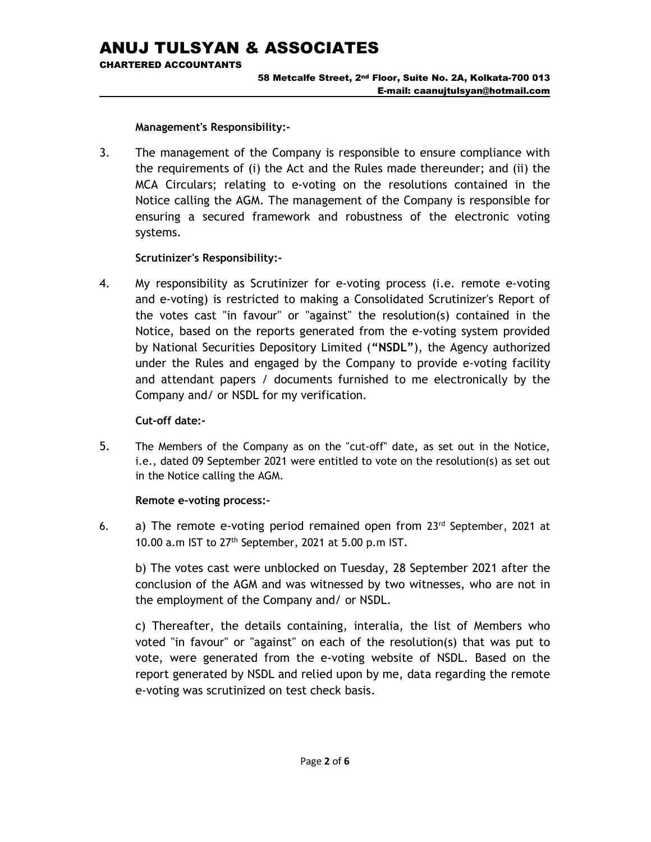CHARTERED ACCOUNTANTS

#### 58 Metcalfe Street, 2nd Floor, Suite No. 2A, Kolkata-700 013 E-mail: caanujtulsyan@hotmail.com

Management's Responsibility:-

3. The management of the Company is responsible to ensure compliance with the requirements of (i) the Act and the Rules made thereunder; and (ii) the MCA Circulars; relating to e-voting on the resolutions contained in the Notice calling the AGM. The management of the Company is responsible for ensuring a secured framework and robustness of the electronic voting systems.

# Scrutinizer's Responsibility:-

4. My responsibility as Scrutinizer for e-voting process (i.e. remote e-voting and e-voting) is restricted to making a Consolidated Scrutinizer's Report of the votes cast "in favour" or "against" the resolution(s) contained in the Notice, based on the reports generated from the e-voting system provided by National Securities Depository Limited ("NSDL"), the Agency authorized under the Rules and engaged by the Company to provide e-voting facility and attendant papers / documents furnished to me electronically by the Company and/ or NSDL for my verification.

# Cut-off date:-

5. The Members of the Company as on the "cut-off" date, as set out in the Notice, i.e., dated 09 September 2021 were entitled to vote on the resolution(s) as set out in the Notice calling the AGM.

# Remote e-voting process:-

6. a) The remote e-voting period remained open from  $23<sup>rd</sup>$  September, 2021 at 10.00 a.m IST to 27th September, 2021 at 5.00 p.m IST.

b) The votes cast were unblocked on Tuesday, 28 September 2021 after the conclusion of the AGM and was witnessed by two witnesses, who are not in the employment of the Company and/ or NSDL.

c) Thereafter, the details containing, interalia, the list of Members who voted "in favour" or "against" on each of the resolution(s) that was put to vote, were generated from the e-voting website of NSDL. Based on the report generated by NSDL and relied upon by me, data regarding the remote e-voting was scrutinized on test check basis.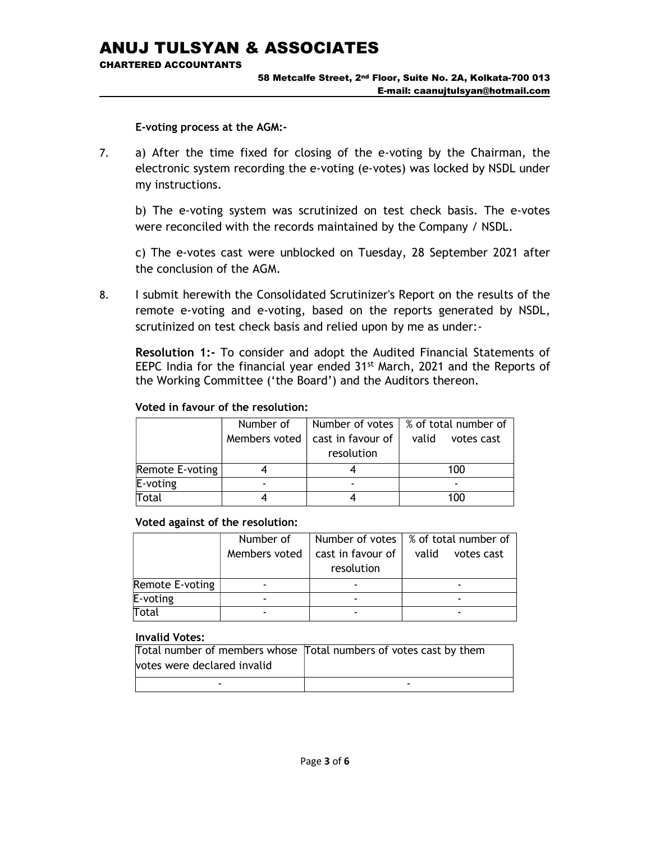CHARTERED ACCOUNTANTS

#### 58 Metcalfe Street, 2nd Floor, Suite No. 2A, Kolkata-700 013 E-mail: caanujtulsyan@hotmail.com

E-voting process at the AGM:-

7. a) After the time fixed for closing of the e-voting by the Chairman, the electronic system recording the e-voting (e-votes) was locked by NSDL under my instructions.

b) The e-voting system was scrutinized on test check basis. The e-votes were reconciled with the records maintained by the Company / NSDL.

 c) The e-votes cast were unblocked on Tuesday, 28 September 2021 after the conclusion of the AGM.

8. I submit herewith the Consolidated Scrutinizer's Report on the results of the remote e-voting and e-voting, based on the reports generated by NSDL, scrutinized on test check basis and relied upon by me as under:-

Resolution 1:- To consider and adopt the Audited Financial Statements of EEPC India for the financial year ended 31<sup>st</sup> March, 2021 and the Reports of the Working Committee ('the Board') and the Auditors thereon.

#### Number of Members voted Number of votes cast in favour of resolution % of total number of valid votes cast Remote E-voting 1 4 4 100 E-voting  $\qquad \qquad$   $\qquad$   $\qquad$   $\qquad$   $\qquad$   $\qquad$   $\qquad$   $\qquad$   $\qquad$   $\qquad$   $\qquad$   $\qquad$   $\qquad$   $\qquad$   $\qquad$   $\qquad$   $\qquad$   $\qquad$   $\qquad$   $\qquad$   $\qquad$   $\qquad$   $\qquad$   $\qquad$   $\qquad$   $\qquad$   $\qquad$   $\qquad$   $\qquad$   $\qquad$   $\qquad$   $\qquad$   $\qquad$   $\qquad$   $\qquad$ Total 4 4 100

### Voted in favour of the resolution:

### Voted against of the resolution:

|                 | Number of     |                   | Number of votes   % of total number of |
|-----------------|---------------|-------------------|----------------------------------------|
|                 | Members voted | cast in favour of | valid<br>votes cast                    |
|                 |               | resolution        |                                        |
| Remote E-voting |               |                   |                                        |
| E-voting        |               |                   |                                        |
| Total           |               |                   |                                        |

### Invalid Votes:

| votes were declared invalid | Total number of members whose Total numbers of votes cast by them |
|-----------------------------|-------------------------------------------------------------------|
|                             | -                                                                 |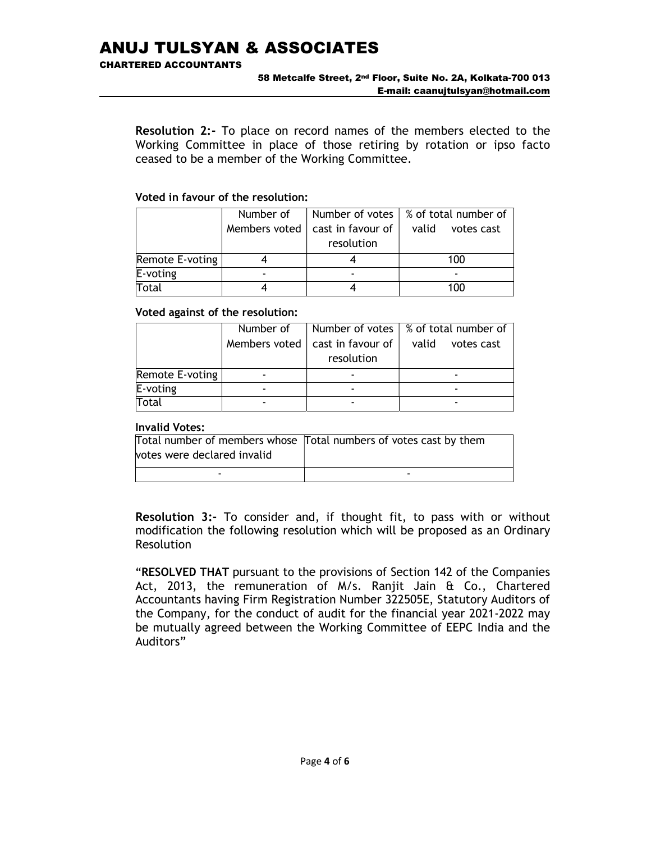CHARTERED ACCOUNTANTS

Resolution 2:- To place on record names of the members elected to the Working Committee in place of those retiring by rotation or ipso facto ceased to be a member of the Working Committee.

# Voted in favour of the resolution:

|                 | Number of |                                                 | Number of votes $\frac{1}{2}$ % of total number of |
|-----------------|-----------|-------------------------------------------------|----------------------------------------------------|
|                 |           | Members voted $\vert$ cast in favour of $\vert$ | valid<br>votes cast                                |
|                 |           | resolution                                      |                                                    |
| Remote E-voting |           |                                                 | 100                                                |
| $E$ -voting     |           |                                                 |                                                    |
| Total           |           |                                                 | 100                                                |

### Voted against of the resolution:

|                 | Number of     | Number of votes                 | ∣% of total number of |
|-----------------|---------------|---------------------------------|-----------------------|
|                 | Members voted | cast in favour of<br>resolution | valid<br>votes cast   |
| Remote E-voting |               |                                 |                       |
| $E$ -voting     |               |                                 |                       |
| Total           |               |                                 |                       |

# Invalid Votes:

|                             | Total number of members whose Total numbers of votes cast by them |
|-----------------------------|-------------------------------------------------------------------|
| votes were declared invalid |                                                                   |
| -                           | -                                                                 |

Resolution 3:- To consider and, if thought fit, to pass with or without modification the following resolution which will be proposed as an Ordinary Resolution

"RESOLVED THAT pursuant to the provisions of Section 142 of the Companies Act, 2013, the remuneration of M/s. Ranjit Jain & Co., Chartered Accountants having Firm Registration Number 322505E, Statutory Auditors of the Company, for the conduct of audit for the financial year 2021-2022 may be mutually agreed between the Working Committee of EEPC India and the Auditors"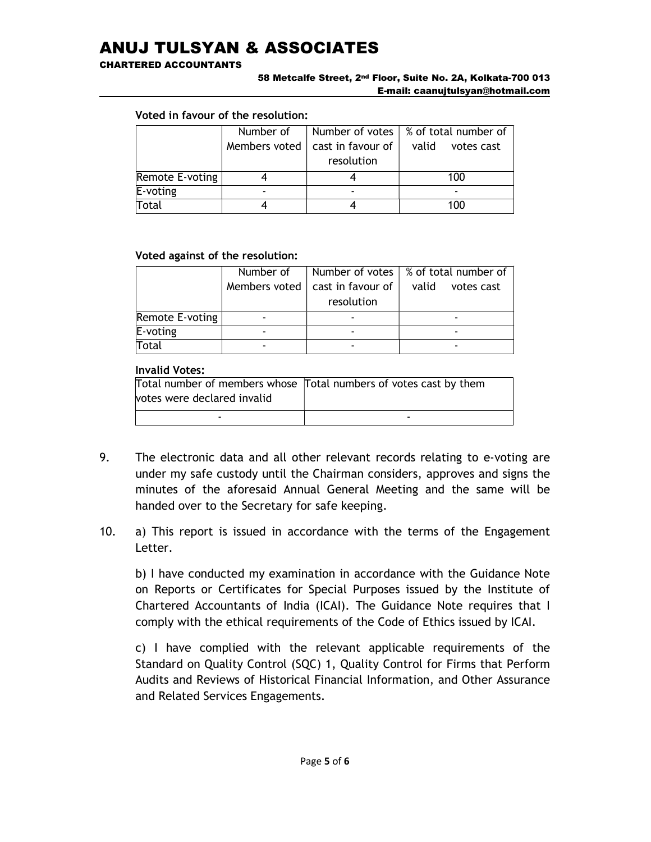CHARTERED ACCOUNTANTS

#### 58 Metcalfe Street, 2nd Floor, Suite No. 2A, Kolkata-700 013 E-mail: caanujtulsyan@hotmail.com

# Voted in favour of the resolution:

|                 | Number of     |                       | Number of votes $\frac{1}{2}$ % of total number of |
|-----------------|---------------|-----------------------|----------------------------------------------------|
|                 | Members voted | cast in favour of $ $ | valid<br>votes cast                                |
|                 |               | resolution            |                                                    |
| Remote E-voting |               |                       | 100                                                |
| E-voting        |               |                       |                                                    |
| Total           |               |                       | 100                                                |

### Voted against of the resolution:

|                 | Number of     |                       | Number of votes $\frac{1}{2}$ % of total number of |
|-----------------|---------------|-----------------------|----------------------------------------------------|
|                 | Members voted | cast in favour of $ $ | valid<br>votes cast                                |
|                 |               | resolution            |                                                    |
| Remote E-voting |               |                       |                                                    |
| E-voting        |               |                       |                                                    |
| Total           |               |                       |                                                    |

### Invalid Votes:

|                             | Total number of members whose Total numbers of votes cast by them |
|-----------------------------|-------------------------------------------------------------------|
| votes were declared invalid |                                                                   |
| -                           | -                                                                 |

- 9. The electronic data and all other relevant records relating to e-voting are under my safe custody until the Chairman considers, approves and signs the minutes of the aforesaid Annual General Meeting and the same will be handed over to the Secretary for safe keeping.
- 10. a) This report is issued in accordance with the terms of the Engagement Letter.

 b) I have conducted my examination in accordance with the Guidance Note on Reports or Certificates for Special Purposes issued by the Institute of Chartered Accountants of India (ICAI). The Guidance Note requires that I comply with the ethical requirements of the Code of Ethics issued by ICAI.

 c) I have complied with the relevant applicable requirements of the Standard on Quality Control (SQC) 1, Quality Control for Firms that Perform Audits and Reviews of Historical Financial Information, and Other Assurance and Related Services Engagements.